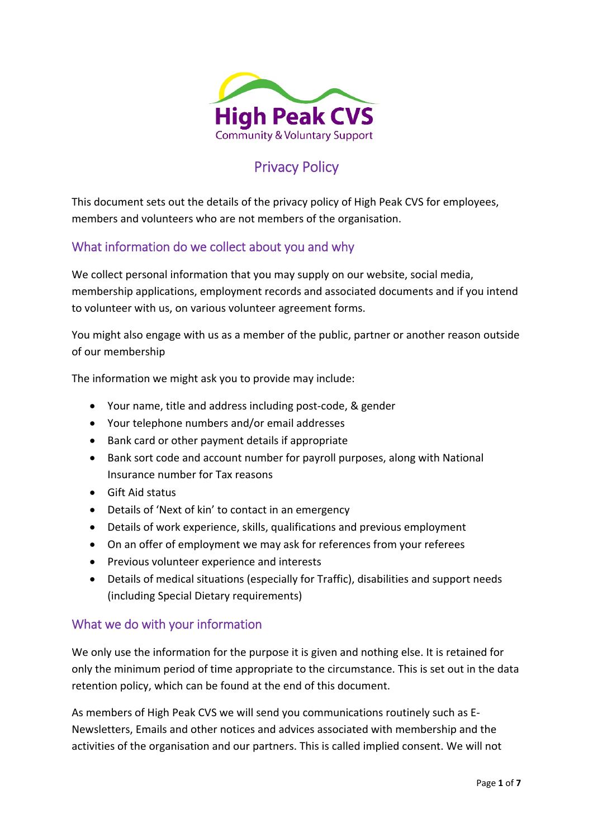

# Privacy Policy

This document sets out the details of the privacy policy of High Peak CVS for employees, members and volunteers who are not members of the organisation.

# What information do we collect about you and why

We collect personal information that you may supply on our website, social media, membership applications, employment records and associated documents and if you intend to volunteer with us, on various volunteer agreement forms.

You might also engage with us as a member of the public, partner or another reason outside of our membership

The information we might ask you to provide may include:

- Your name, title and address including post-code, & gender
- Your telephone numbers and/or email addresses
- Bank card or other payment details if appropriate
- Bank sort code and account number for payroll purposes, along with National Insurance number for Tax reasons
- Gift Aid status
- Details of 'Next of kin' to contact in an emergency
- Details of work experience, skills, qualifications and previous employment
- On an offer of employment we may ask for references from your referees
- Previous volunteer experience and interests
- Details of medical situations (especially for Traffic), disabilities and support needs (including Special Dietary requirements)

#### What we do with your information

We only use the information for the purpose it is given and nothing else. It is retained for only the minimum period of time appropriate to the circumstance. This is set out in the data retention policy, which can be found at the end of this document.

As members of High Peak CVS we will send you communications routinely such as E‐ Newsletters, Emails and other notices and advices associated with membership and the activities of the organisation and our partners. This is called implied consent. We will not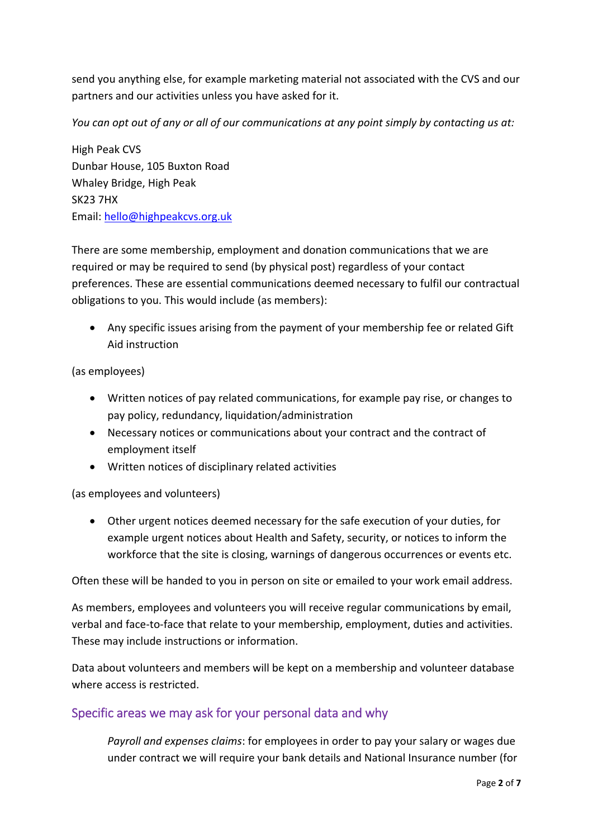send you anything else, for example marketing material not associated with the CVS and our partners and our activities unless you have asked for it.

You can opt out of any or all of our communications at any point simply by contacting us at:

High Peak CVS Dunbar House, 105 Buxton Road Whaley Bridge, High Peak SK23 7HX Email: hello@highpeakcvs.org.uk

There are some membership, employment and donation communications that we are required or may be required to send (by physical post) regardless of your contact preferences. These are essential communications deemed necessary to fulfil our contractual obligations to you. This would include (as members):

 Any specific issues arising from the payment of your membership fee or related Gift Aid instruction

(as employees)

- Written notices of pay related communications, for example pay rise, or changes to pay policy, redundancy, liquidation/administration
- Necessary notices or communications about your contract and the contract of employment itself
- Written notices of disciplinary related activities

(as employees and volunteers)

 Other urgent notices deemed necessary for the safe execution of your duties, for example urgent notices about Health and Safety, security, or notices to inform the workforce that the site is closing, warnings of dangerous occurrences or events etc.

Often these will be handed to you in person on site or emailed to your work email address.

As members, employees and volunteers you will receive regular communications by email, verbal and face‐to‐face that relate to your membership, employment, duties and activities. These may include instructions or information.

Data about volunteers and members will be kept on a membership and volunteer database where access is restricted.

## Specific areas we may ask for your personal data and why

*Payroll and expenses claims*: for employees in order to pay your salary or wages due under contract we will require your bank details and National Insurance number (for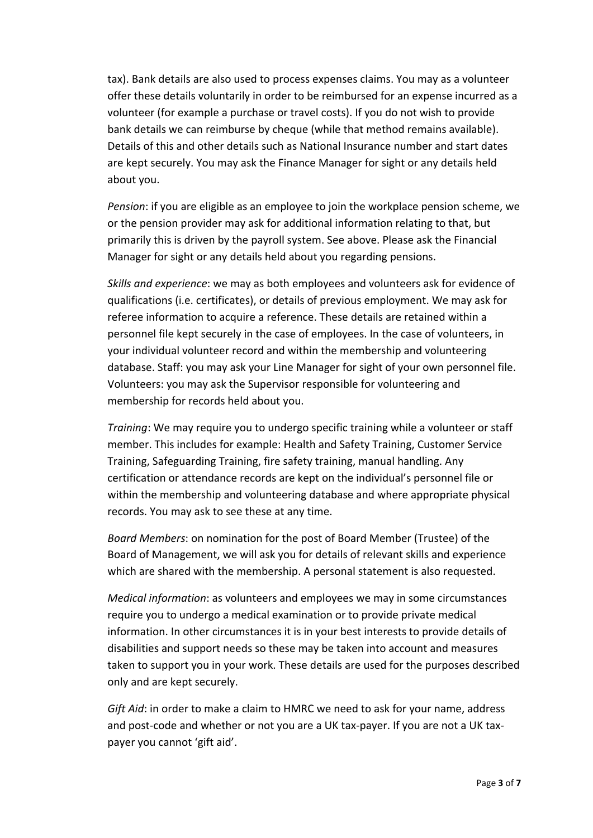tax). Bank details are also used to process expenses claims. You may as a volunteer offer these details voluntarily in order to be reimbursed for an expense incurred as a volunteer (for example a purchase or travel costs). If you do not wish to provide bank details we can reimburse by cheque (while that method remains available). Details of this and other details such as National Insurance number and start dates are kept securely. You may ask the Finance Manager for sight or any details held about you.

*Pension*: if you are eligible as an employee to join the workplace pension scheme, we or the pension provider may ask for additional information relating to that, but primarily this is driven by the payroll system. See above. Please ask the Financial Manager for sight or any details held about you regarding pensions.

*Skills and experience*: we may as both employees and volunteers ask for evidence of qualifications (i.e. certificates), or details of previous employment. We may ask for referee information to acquire a reference. These details are retained within a personnel file kept securely in the case of employees. In the case of volunteers, in your individual volunteer record and within the membership and volunteering database. Staff: you may ask your Line Manager for sight of your own personnel file. Volunteers: you may ask the Supervisor responsible for volunteering and membership for records held about you.

*Training*: We may require you to undergo specific training while a volunteer or staff member. This includes for example: Health and Safety Training, Customer Service Training, Safeguarding Training, fire safety training, manual handling. Any certification or attendance records are kept on the individual's personnel file or within the membership and volunteering database and where appropriate physical records. You may ask to see these at any time.

*Board Members*: on nomination for the post of Board Member (Trustee) of the Board of Management, we will ask you for details of relevant skills and experience which are shared with the membership. A personal statement is also requested.

*Medical information*: as volunteers and employees we may in some circumstances require you to undergo a medical examination or to provide private medical information. In other circumstances it is in your best interests to provide details of disabilities and support needs so these may be taken into account and measures taken to support you in your work. These details are used for the purposes described only and are kept securely.

*Gift Aid*: in order to make a claim to HMRC we need to ask for your name, address and post-code and whether or not you are a UK tax-payer. If you are not a UK taxpayer you cannot 'gift aid'.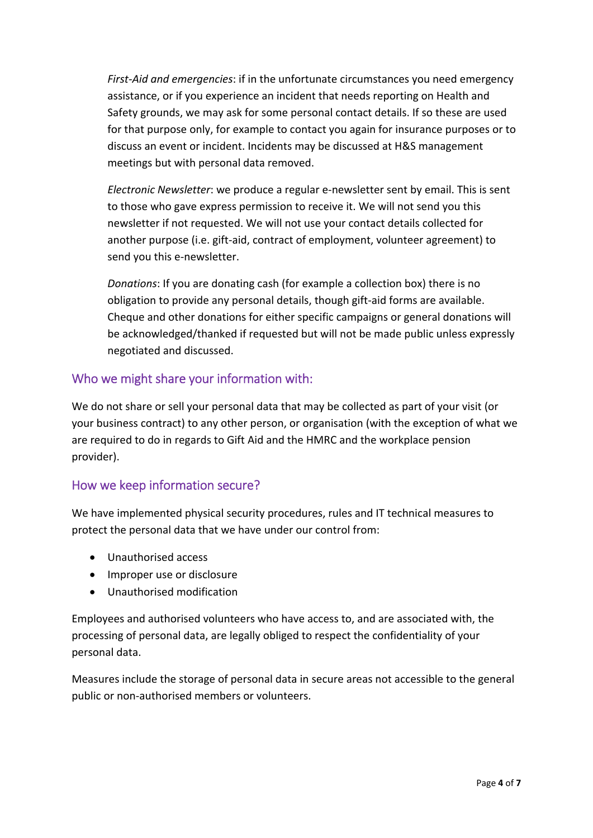*First‐Aid and emergencies*: if in the unfortunate circumstances you need emergency assistance, or if you experience an incident that needs reporting on Health and Safety grounds, we may ask for some personal contact details. If so these are used for that purpose only, for example to contact you again for insurance purposes or to discuss an event or incident. Incidents may be discussed at H&S management meetings but with personal data removed.

*Electronic Newsletter*: we produce a regular e‐newsletter sent by email. This is sent to those who gave express permission to receive it. We will not send you this newsletter if not requested. We will not use your contact details collected for another purpose (i.e. gift-aid, contract of employment, volunteer agreement) to send you this e‐newsletter.

*Donations*: If you are donating cash (for example a collection box) there is no obligation to provide any personal details, though gift‐aid forms are available. Cheque and other donations for either specific campaigns or general donations will be acknowledged/thanked if requested but will not be made public unless expressly negotiated and discussed.

# Who we might share your information with:

We do not share or sell your personal data that may be collected as part of your visit (or your business contract) to any other person, or organisation (with the exception of what we are required to do in regards to Gift Aid and the HMRC and the workplace pension provider).

## How we keep information secure?

We have implemented physical security procedures, rules and IT technical measures to protect the personal data that we have under our control from:

- Unauthorised access
- Improper use or disclosure
- Unauthorised modification

Employees and authorised volunteers who have access to, and are associated with, the processing of personal data, are legally obliged to respect the confidentiality of your personal data.

Measures include the storage of personal data in secure areas not accessible to the general public or non‐authorised members or volunteers.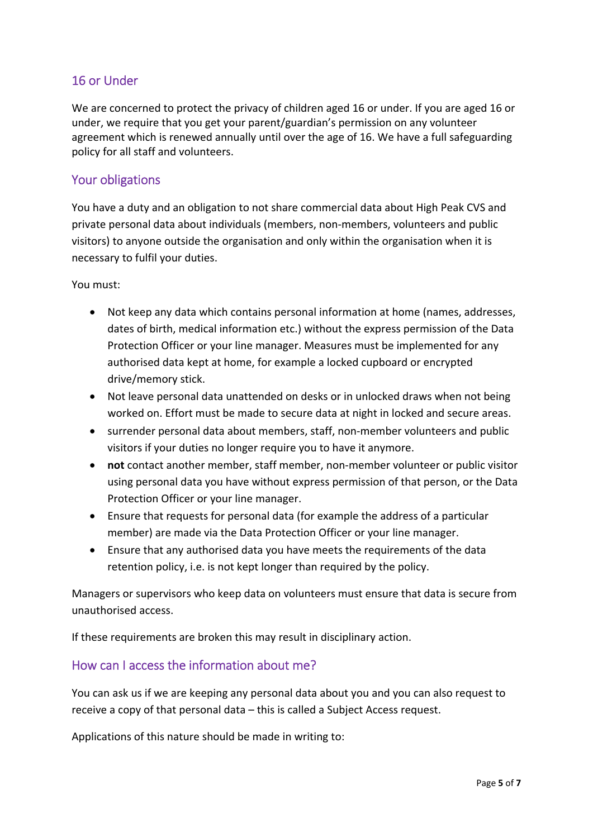## 16 or Under

We are concerned to protect the privacy of children aged 16 or under. If you are aged 16 or under, we require that you get your parent/guardian's permission on any volunteer agreement which is renewed annually until over the age of 16. We have a full safeguarding policy for all staff and volunteers.

#### Your obligations

You have a duty and an obligation to not share commercial data about High Peak CVS and private personal data about individuals (members, non‐members, volunteers and public visitors) to anyone outside the organisation and only within the organisation when it is necessary to fulfil your duties.

You must:

- Not keep any data which contains personal information at home (names, addresses, dates of birth, medical information etc.) without the express permission of the Data Protection Officer or your line manager. Measures must be implemented for any authorised data kept at home, for example a locked cupboard or encrypted drive/memory stick.
- Not leave personal data unattended on desks or in unlocked draws when not being worked on. Effort must be made to secure data at night in locked and secure areas.
- surrender personal data about members, staff, non-member volunteers and public visitors if your duties no longer require you to have it anymore.
- **not** contact another member, staff member, non‐member volunteer or public visitor using personal data you have without express permission of that person, or the Data Protection Officer or your line manager.
- Ensure that requests for personal data (for example the address of a particular member) are made via the Data Protection Officer or your line manager.
- Ensure that any authorised data you have meets the requirements of the data retention policy, i.e. is not kept longer than required by the policy.

Managers or supervisors who keep data on volunteers must ensure that data is secure from unauthorised access.

If these requirements are broken this may result in disciplinary action.

## How can I access the information about me?

You can ask us if we are keeping any personal data about you and you can also request to receive a copy of that personal data – this is called a Subject Access request.

Applications of this nature should be made in writing to: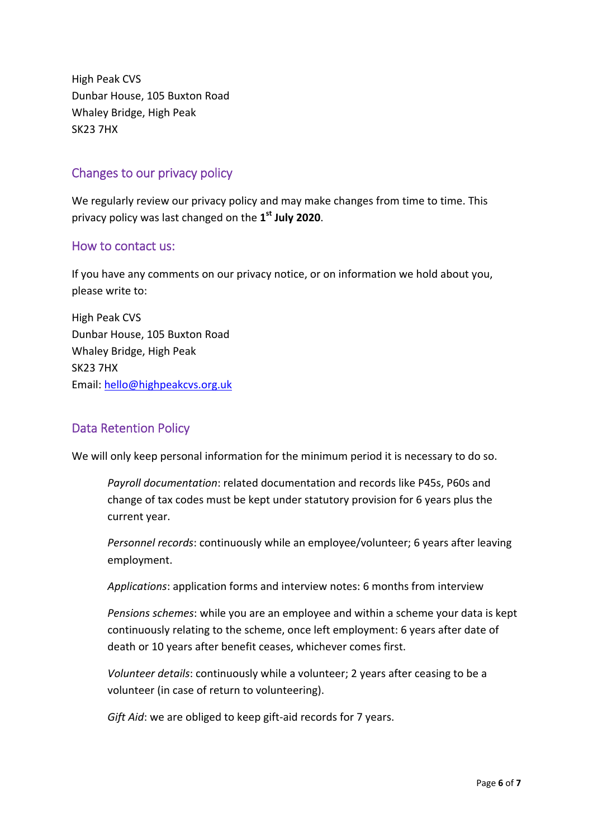High Peak CVS Dunbar House, 105 Buxton Road Whaley Bridge, High Peak SK23 7HX

# Changes to our privacy policy

We regularly review our privacy policy and may make changes from time to time. This privacy policy was last changed on the **1st July 2020**.

#### How to contact us:

If you have any comments on our privacy notice, or on information we hold about you, please write to:

High Peak CVS Dunbar House, 105 Buxton Road Whaley Bridge, High Peak SK23 7HX Email: hello@highpeakcvs.org.uk

## Data Retention Policy

We will only keep personal information for the minimum period it is necessary to do so.

*Payroll documentation*: related documentation and records like P45s, P60s and change of tax codes must be kept under statutory provision for 6 years plus the current year.

*Personnel records*: continuously while an employee/volunteer; 6 years after leaving employment.

*Applications*: application forms and interview notes: 6 months from interview

*Pensions schemes*: while you are an employee and within a scheme your data is kept continuously relating to the scheme, once left employment: 6 years after date of death or 10 years after benefit ceases, whichever comes first.

*Volunteer details*: continuously while a volunteer; 2 years after ceasing to be a volunteer (in case of return to volunteering).

*Gift Aid*: we are obliged to keep gift-aid records for 7 years.